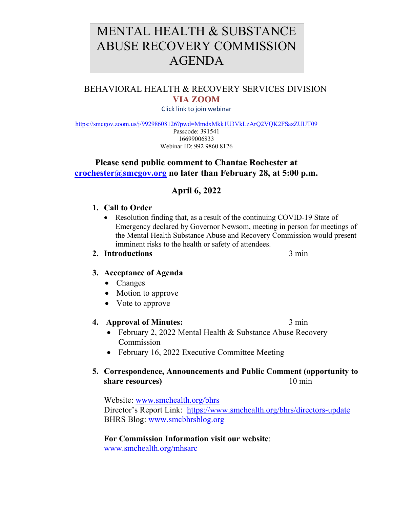# MENTAL HEALTH & SUBSTANCE ABUSE RECOVERY COMMISSION AGENDA

# BEHAVIORAL HEALTH & RECOVERY SERVICES DIVISION **VIA ZOOM**

Click link to join webinar

<https://smcgov.zoom.us/j/99298608126?pwd=MmdxMkk1U3VkLzArQ2VQK2FSazZUUT09>

Passcode: 391541 16699006833 Webinar ID: 992 9860 8126

## **Please send public comment to Chantae Rochester at [crochester@smcgov.org](mailto:crochester@smcgov.org) no later than February 28, at 5:00 p.m.**

# **April 6, 2022**

#### **1. Call to Order**

• Resolution finding that, as a result of the continuing COVID-19 State of Emergency declared by Governor Newsom, meeting in person for meetings of the Mental Health Substance Abuse and Recovery Commission would present imminent risks to the health or safety of attendees.

#### **2. Introductions** 3 min

## **3. Acceptance of Agenda**

- Changes
- Motion to approve
- Vote to approve

#### **4. Approval of Minutes:** 3 min

- February 2, 2022 Mental Health & Substance Abuse Recovery Commission
- February 16, 2022 Executive Committee Meeting

## **5. Correspondence, Announcements and Public Comment (opportunity to share resources**) 10 min

Website: [www.smchealth.org/bhrs](http://www.smchealth.org/bhrs) Director's Report Link: <https://www.smchealth.org/bhrs/directors-update> BHRS Blog: [www.smcbhrsblog.org](http://www.smcbhrsblog.org/)

**For Commission Information visit our website**: [www.smchealth.org/mhsarc](http://www.smchealth.org/mhsarc)